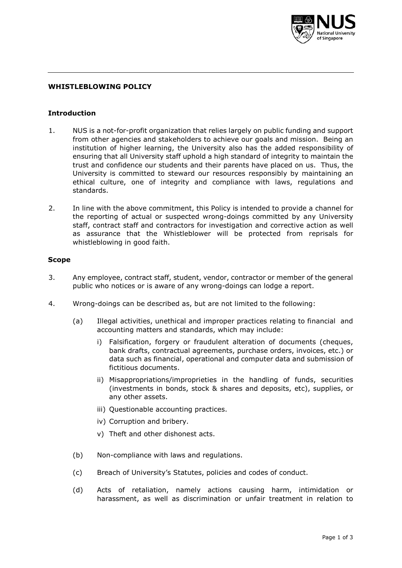

## **WHISTLEBLOWING POLICY**

#### **Introduction**

- 1. NUS is a not-for-profit organization that relies largely on public funding and support from other agencies and stakeholders to achieve our goals and mission. Being an institution of higher learning, the University also has the added responsibility of ensuring that all University staff uphold a high standard of integrity to maintain the trust and confidence our students and their parents have placed on us. Thus, the University is committed to steward our resources responsibly by maintaining an ethical culture, one of integrity and compliance with laws, regulations and standards.
- 2. In line with the above commitment, this Policy is intended to provide a channel for the reporting of actual or suspected wrong-doings committed by any University staff, contract staff and contractors for investigation and corrective action as well as assurance that the Whistleblower will be protected from reprisals for whistleblowing in good faith.

#### **Scope**

- 3. Any employee, contract staff, student, vendor, contractor or member of the general public who notices or is aware of any wrong-doings can lodge a report.
- 4. Wrong-doings can be described as, but are not limited to the following:
	- (a) Illegal activities, unethical and improper practices relating to financial and accounting matters and standards, which may include:
		- i) Falsification, forgery or fraudulent alteration of documents (cheques, bank drafts, contractual agreements, purchase orders, invoices, etc.) or data such as financial, operational and computer data and submission of fictitious documents.
		- ii) Misappropriations/improprieties in the handling of funds, securities (investments in bonds, stock & shares and deposits, etc), supplies, or any other assets.
		- iii) Questionable accounting practices.
		- iv) Corruption and bribery.
		- v) Theft and other dishonest acts.
	- (b) Non-compliance with laws and regulations.
	- (c) Breach of University's Statutes, policies and codes of conduct.
	- (d) Acts of retaliation, namely actions causing harm, intimidation or harassment, as well as discrimination or unfair treatment in relation to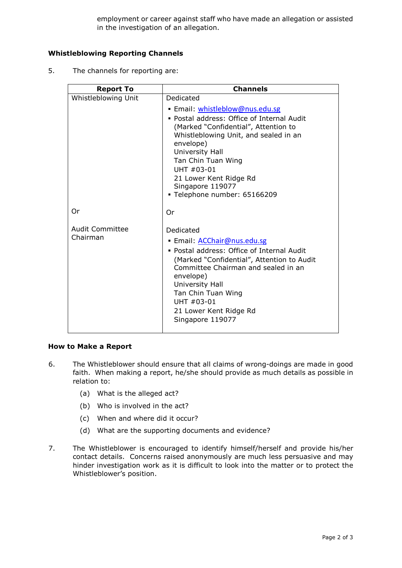employment or career against staff who have made an allegation or assisted in the investigation of an allegation.

# **Whistleblowing Reporting Channels**

5. The channels for reporting are:

| <b>Report To</b>                   | <b>Channels</b>                                                                                                                                                                                                                                                                                      |
|------------------------------------|------------------------------------------------------------------------------------------------------------------------------------------------------------------------------------------------------------------------------------------------------------------------------------------------------|
| Whistleblowing Unit                | Dedicated                                                                                                                                                                                                                                                                                            |
|                                    | · Email: whistleblow@nus.edu.sg                                                                                                                                                                                                                                                                      |
|                                    | • Postal address: Office of Internal Audit<br>(Marked "Confidential", Attention to<br>Whistleblowing Unit, and sealed in an<br>envelope)<br>University Hall<br>Tan Chin Tuan Wing<br>$IJHT #03-01$<br>21 Lower Kent Ridge Rd<br>Singapore 119077<br>- Telephone number: 65166209                     |
| 0r                                 | Or                                                                                                                                                                                                                                                                                                   |
| <b>Audit Committee</b><br>Chairman | Dedicated<br>· Email: <b>ACChair@nus.edu.sg</b><br>• Postal address: Office of Internal Audit<br>(Marked "Confidential", Attention to Audit<br>Committee Chairman and sealed in an<br>envelope)<br>University Hall<br>Tan Chin Tuan Wing<br>UHT #03-01<br>21 Lower Kent Ridge Rd<br>Singapore 119077 |

## **How to Make a Report**

- 6. The Whistleblower should ensure that all claims of wrong-doings are made in good faith. When making a report, he/she should provide as much details as possible in relation to:
	- (a) What is the alleged act?
	- (b) Who is involved in the act?
	- (c) When and where did it occur?
	- (d) What are the supporting documents and evidence?
- 7. The Whistleblower is encouraged to identify himself/herself and provide his/her contact details. Concerns raised anonymously are much less persuasive and may hinder investigation work as it is difficult to look into the matter or to protect the Whistleblower's position.